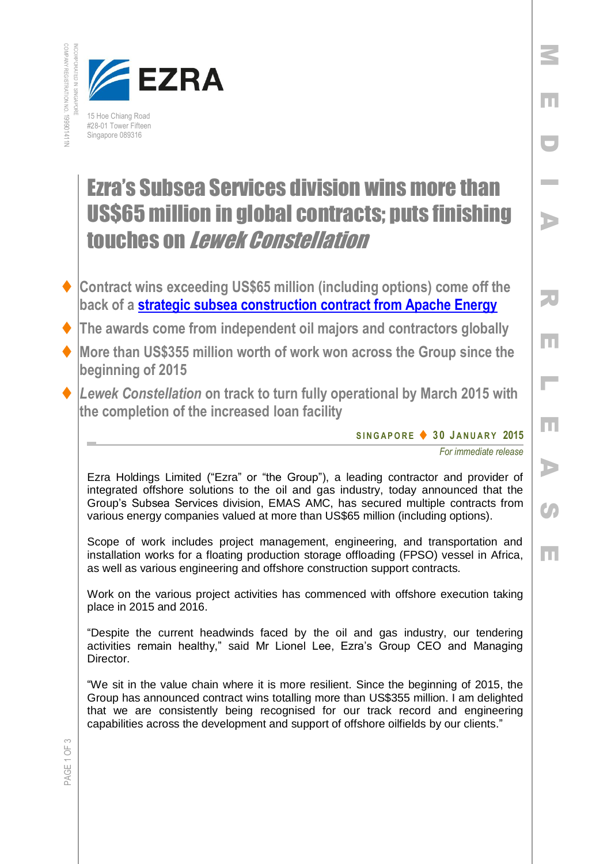



## Ezra's Subsea Services division wins more than US\$65 million in global contracts; puts finishing touches on Lewek Constellation

- **Contract wins exceeding US\$65 million (including options) come off the back of a [strategic subsea construction contract from Apache Energy](http://www.emas.com/index.php/media-room/press-releases/emas-amc-wins-strategic-subsea-construction-contract-from-apache-energy-with-lewek-constellation-for-work-offshore-australia/)**
- **The awards come from independent oil majors and contractors globally**
- **More than US\$355 million worth of work won across the Group since the beginning of 2015**
- *Lewek Constellation* **on track to turn fully operational by March 2015 with the completion of the increased loan facility**

**S I N G A P O R E 3 0 J A N U AR Y 2015**

*For immediate release*

M

E

D

I

A

R

E

 $\mathbb{R}^2$ 

E

A

Co

E

Ezra Holdings Limited ("Ezra" or "the Group"), a leading contractor and provider of integrated offshore solutions to the oil and gas industry, today announced that the Group's Subsea Services division, EMAS AMC, has secured multiple contracts from various energy companies valued at more than US\$65 million (including options).

Scope of work includes project management, engineering, and transportation and installation works for a floating production storage offloading (FPSO) vessel in Africa, as well as various engineering and offshore construction support contracts.

Work on the various project activities has commenced with offshore execution taking place in 2015 and 2016.

"Despite the current headwinds faced by the oil and gas industry, our tendering activities remain healthy," said Mr Lionel Lee, Ezra's Group CEO and Managing Director.

"We sit in the value chain where it is more resilient. Since the beginning of 2015, the Group has announced contract wins totalling more than US\$355 million. I am delighted that we are consistently being recognised for our track record and engineering capabilities across the development and support of offshore oilfields by our clients."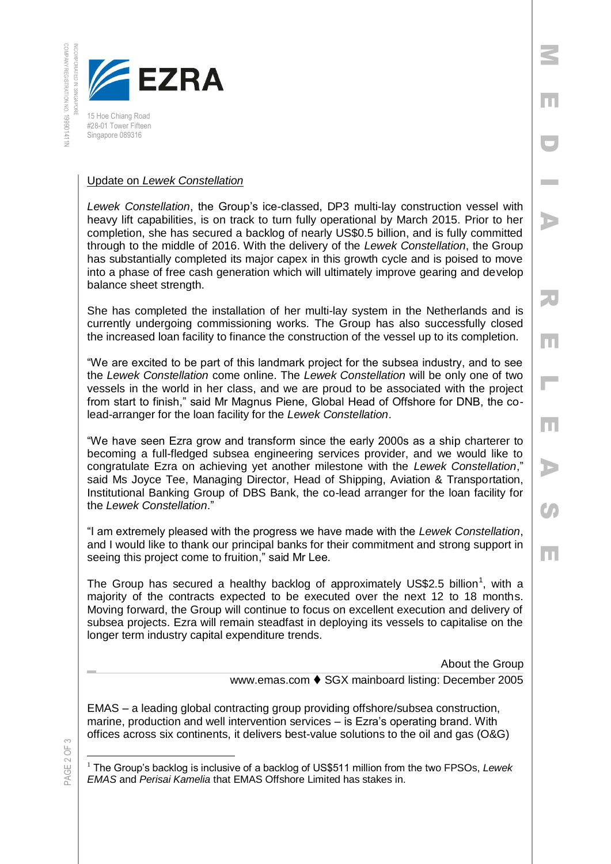INCORPORATED IN SINGAPORE



15 Hoe Chiang Road #28-01 Tower Fifteen Singapore 089316

## Update on *Lewek Constellation*

*Lewek Constellation*, the Group's ice-classed, DP3 multi-lay construction vessel with heavy lift capabilities, is on track to turn fully operational by March 2015. Prior to her completion, she has secured a backlog of nearly US\$0.5 billion, and is fully committed through to the middle of 2016. With the delivery of the *Lewek Constellation*, the Group has substantially completed its major capex in this growth cycle and is poised to move into a phase of free cash generation which will ultimately improve gearing and develop balance sheet strength.

She has completed the installation of her multi-lay system in the Netherlands and is currently undergoing commissioning works. The Group has also successfully closed the increased loan facility to finance the construction of the vessel up to its completion.

"We are excited to be part of this landmark project for the subsea industry, and to see the *Lewek Constellation* come online. The *Lewek Constellation* will be only one of two vessels in the world in her class, and we are proud to be associated with the project from start to finish," said Mr Magnus Piene, Global Head of Offshore for DNB, the colead-arranger for the loan facility for the *Lewek Constellation*.

"We have seen Ezra grow and transform since the early 2000s as a ship charterer to becoming a full-fledged subsea engineering services provider, and we would like to congratulate Ezra on achieving yet another milestone with the *Lewek Constellation*," said Ms Joyce Tee, Managing Director, Head of Shipping, Aviation & Transportation, Institutional Banking Group of DBS Bank, the co-lead arranger for the loan facility for the *Lewek Constellation*."

"I am extremely pleased with the progress we have made with the *Lewek Constellation*, and I would like to thank our principal banks for their commitment and strong support in seeing this project come to fruition," said Mr Lee.

The Group has secured a healthy backlog of approximately US\$2.5 billion<sup>1</sup>, with a majority of the contracts expected to be executed over the next 12 to 18 months. Moving forward, the Group will continue to focus on excellent execution and delivery of subsea projects. Ezra will remain steadfast in deploying its vessels to capitalise on the longer term industry capital expenditure trends.

About the Group

M

E

D

**Inches** 

A

R

E

 $\overline{\phantom{a}}$ 

E

A

 $\boldsymbol{G}$ 

E

www.emas.com ♦ SGX mainboard listing: December 2005

EMAS – a leading global contracting group providing offshore/subsea construction, marine, production and well intervention services – is Ezra's operating brand. With offices across six continents, it delivers best-value solutions to the oil and gas (O&G)

PAGE 2 OF 3

 $\overline{a}$ 

<sup>1</sup> The Group's backlog is inclusive of a backlog of US\$511 million from the two FPSOs, *Lewek EMAS* and *Perisai Kamelia* that EMAS Offshore Limited has stakes in.